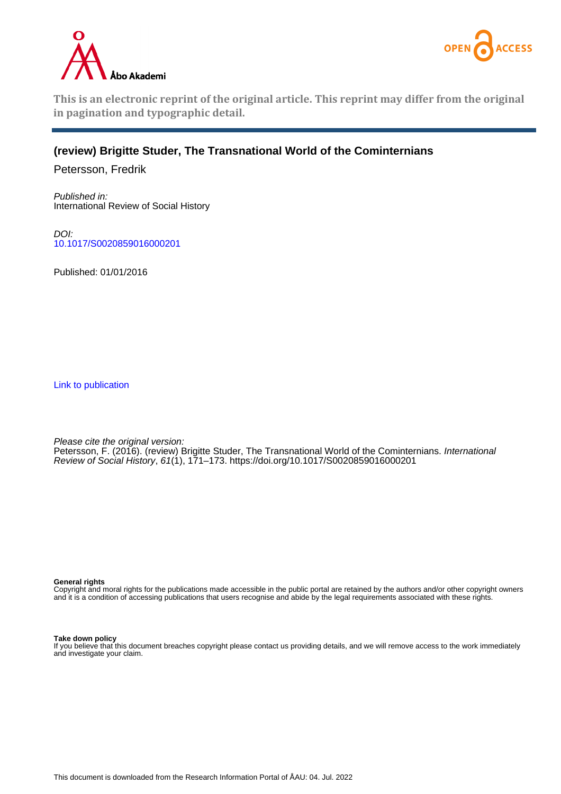



**This is an electronic reprint of the original article. This reprint may differ from the original in pagination and typographic detail.**

## **(review) Brigitte Studer, The Transnational World of the Cominternians**

Petersson, Fredrik

Published in: International Review of Social History

DOI: [10.1017/S0020859016000201](https://doi.org/10.1017/S0020859016000201)

Published: 01/01/2016

[Link to publication](https://research.abo.fi/en/publications/c4844a6e-4bcb-4448-b549-5b520c91cb03)

Please cite the original version: Petersson, F. (2016). (review) Brigitte Studer, The Transnational World of the Cominternians. International Review of Social History, 61(1), 171–173. <https://doi.org/10.1017/S0020859016000201>

**General rights**

Copyright and moral rights for the publications made accessible in the public portal are retained by the authors and/or other copyright owners and it is a condition of accessing publications that users recognise and abide by the legal requirements associated with these rights.

## **Take down policy**

If you believe that this document breaches copyright please contact us providing details, and we will remove access to the work immediately and investigate your claim.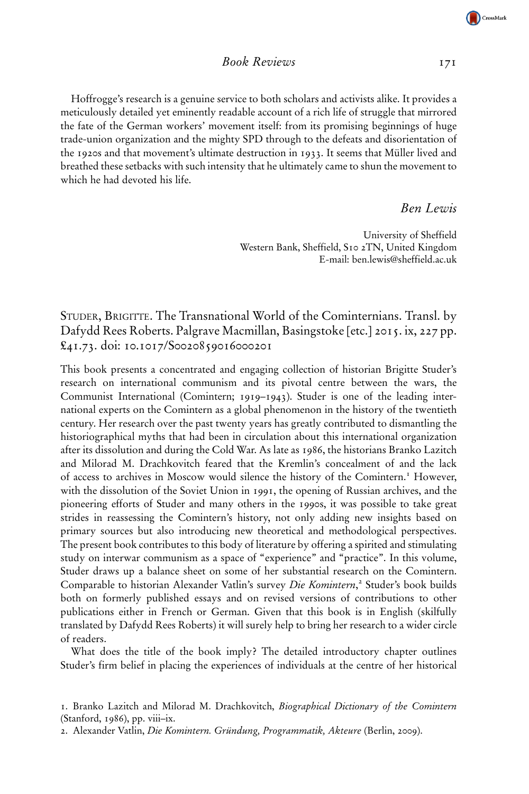## Book Reviews 171

Hoffrogge's research is a genuine service to both scholars and activists alike. It provides a meticulously detailed yet eminently readable account of a rich life of struggle that mirrored the fate of the German workers' movement itself: from its promising beginnings of huge trade-union organization and the mighty SPD through to the defeats and disorientation of the 1920s and that movement's ultimate destruction in 1933. It seems that Müller lived and breathed these setbacks with such intensity that he ultimately came to shun the movement to which he had devoted his life.

Ben Lewis

University of Sheffield Western Bank, Sheffield, S10 2TN, United Kingdom E-mail: ben.lewis@sheffield.ac.uk

STUDER, BRIGITTE. The Transnational World of the Cominternians. Transl. by Dafydd Rees Roberts. Palgrave Macmillan, Basingstoke [etc.] 2015. ix, 227 pp. £41.73. doi: 10.1017/S0020859016000201

This book presents a concentrated and engaging collection of historian Brigitte Studer's research on international communism and its pivotal centre between the wars, the Communist International (Comintern; 1919–1943). Studer is one of the leading international experts on the Comintern as a global phenomenon in the history of the twentieth century. Her research over the past twenty years has greatly contributed to dismantling the historiographical myths that had been in circulation about this international organization after its dissolution and during the Cold War. As late as 1986, the historians Branko Lazitch and Milorad M. Drachkovitch feared that the Kremlin's concealment of and the lack of access to archives in Moscow would silence the history of the Comintern.<sup>1</sup> However, with the dissolution of the Soviet Union in 1991, the opening of Russian archives, and the pioneering efforts of Studer and many others in the 1990s, it was possible to take great strides in reassessing the Comintern's history, not only adding new insights based on primary sources but also introducing new theoretical and methodological perspectives. The present book contributes to this body of literature by offering a spirited and stimulating study on interwar communism as a space of "experience" and "practice". In this volume, Studer draws up a balance sheet on some of her substantial research on the Comintern. Comparable to historian Alexander Vatlin's survey Die Komintern,<sup>2</sup> Studer's book builds both on formerly published essays and on revised versions of contributions to other publications either in French or German. Given that this book is in English (skilfully translated by Dafydd Rees Roberts) it will surely help to bring her research to a wider circle of readers.

What does the title of the book imply? The detailed introductory chapter outlines Studer's firm belief in placing the experiences of individuals at the centre of her historical



<sup>1.</sup> Branko Lazitch and Milorad M. Drachkovitch, Biographical Dictionary of the Comintern (Stanford, 1986), pp. viii–ix.

<sup>2.</sup> Alexander Vatlin, Die Komintern. Gründung, Programmatik, Akteure (Berlin, 2009).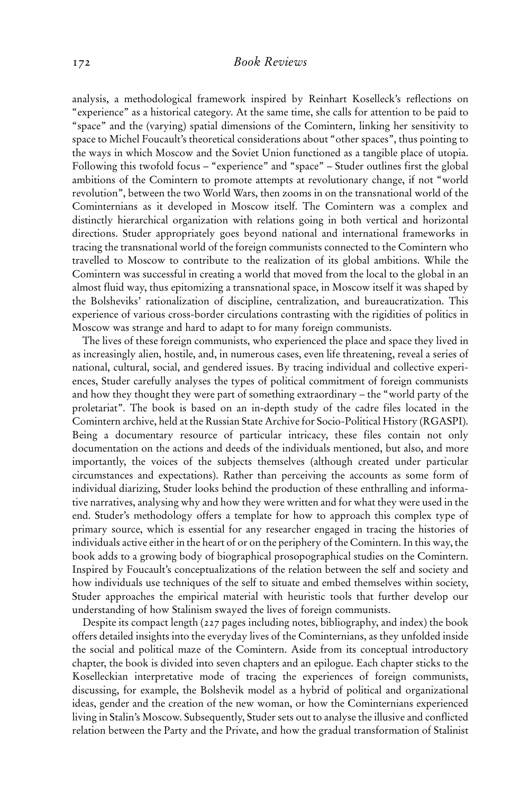analysis, a methodological framework inspired by Reinhart Koselleck's reflections on "experience" as a historical category. At the same time, she calls for attention to be paid to "space" and the (varying) spatial dimensions of the Comintern, linking her sensitivity to space to Michel Foucault's theoretical considerations about "other spaces", thus pointing to the ways in which Moscow and the Soviet Union functioned as a tangible place of utopia. Following this twofold focus – "experience" and "space" – Studer outlines first the global ambitions of the Comintern to promote attempts at revolutionary change, if not "world revolution", between the two World Wars, then zooms in on the transnational world of the Cominternians as it developed in Moscow itself. The Comintern was a complex and distinctly hierarchical organization with relations going in both vertical and horizontal directions. Studer appropriately goes beyond national and international frameworks in tracing the transnational world of the foreign communists connected to the Comintern who travelled to Moscow to contribute to the realization of its global ambitions. While the Comintern was successful in creating a world that moved from the local to the global in an almost fluid way, thus epitomizing a transnational space, in Moscow itself it was shaped by the Bolsheviks' rationalization of discipline, centralization, and bureaucratization. This experience of various cross-border circulations contrasting with the rigidities of politics in Moscow was strange and hard to adapt to for many foreign communists.

The lives of these foreign communists, who experienced the place and space they lived in as increasingly alien, hostile, and, in numerous cases, even life threatening, reveal a series of national, cultural, social, and gendered issues. By tracing individual and collective experiences, Studer carefully analyses the types of political commitment of foreign communists and how they thought they were part of something extraordinary – the "world party of the proletariat". The book is based on an in-depth study of the cadre files located in the Comintern archive, held at the Russian State Archive for Socio-Political History (RGASPI). Being a documentary resource of particular intricacy, these files contain not only documentation on the actions and deeds of the individuals mentioned, but also, and more importantly, the voices of the subjects themselves (although created under particular circumstances and expectations). Rather than perceiving the accounts as some form of individual diarizing, Studer looks behind the production of these enthralling and informative narratives, analysing why and how they were written and for what they were used in the end. Studer's methodology offers a template for how to approach this complex type of primary source, which is essential for any researcher engaged in tracing the histories of individuals active either in the heart of or on the periphery of the Comintern. In this way, the book adds to a growing body of biographical prosopographical studies on the Comintern. Inspired by Foucault's conceptualizations of the relation between the self and society and how individuals use techniques of the self to situate and embed themselves within society, Studer approaches the empirical material with heuristic tools that further develop our understanding of how Stalinism swayed the lives of foreign communists.

Despite its compact length (227 pages including notes, bibliography, and index) the book offers detailed insights into the everyday lives of the Cominternians, as they unfolded inside the social and political maze of the Comintern. Aside from its conceptual introductory chapter, the book is divided into seven chapters and an epilogue. Each chapter sticks to the Koselleckian interpretative mode of tracing the experiences of foreign communists, discussing, for example, the Bolshevik model as a hybrid of political and organizational ideas, gender and the creation of the new woman, or how the Cominternians experienced living in Stalin's Moscow. Subsequently, Studer sets out to analyse the illusive and conflicted relation between the Party and the Private, and how the gradual transformation of Stalinist